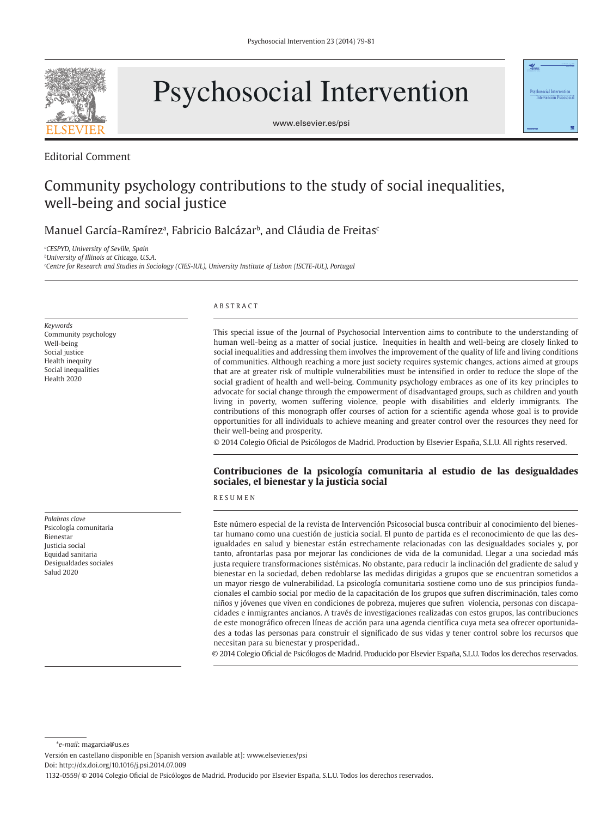

Psychosocial Intervention



## Editorial Comment

# Community psychology contributions to the study of social inequalities, well-being and social justice

Manuel García-Ramírezª, Fabricio Balcázarʰ, and Cláudia de Freitas<sup>c</sup>

*a CESPYD, University of Seville, Spain*

*b University of Illinois at Chicago, U.S.A. c Centre for Research and Studies in Sociology (CIES-IUL), University Institute of Lisbon (ISCTE-IUL), Portugal*

*Keywords* Community psychology Well-being Social justice Health inequity Social inequalities Health 2020

*Palabras clave* Psicología comunitaria Bienestar Justicia social Equidad sanitaria Desigualdades sociales Salud 2020

### ABSTRACT

This special issue of the Journal of Psychosocial Intervention aims to contribute to the understanding of human well-being as a matter of social justice. Inequities in health and well-being are closely linked to social inequalities and addressing them involves the improvement of the quality of life and living conditions of communities. Although reaching a more just society requires systemic changes, actions aimed at groups that are at greater risk of multiple vulnerabilities must be intensified in order to reduce the slope of the social gradient of health and well-being. Community psychology embraces as one of its key principles to advocate for social change through the empowerment of disadvantaged groups, such as children and youth living in poverty, women suffering violence, people with disabilities and elderly immigrants. The contributions of this monograph offer courses of action for a scientific agenda whose goal is to provide opportunities for all individuals to achieve meaning and greater control over the resources they need for their well-being and prosperity.

Psychosocial Intervention Intervención Psicosocial

© 2014 Colegio Oficial de Psicólogos de Madrid. Production by Elsevier España, S.L. All rights reserved. © 2014 Colegio Ofi cial de Psicólogos de Madrid. Production by Elsevier España, S.L.U. All rights reserved.

### **Contribuciones de la psicología comunitaria al estudio de las desigualdades sociales, el bienestar y la justicia social**

#### RESUMEN

Este número especial de la revista de Intervención Psicosocial busca contribuir al conocimiento del bienestar humano como una cuestión de justicia social. El punto de partida es el reconocimiento de que las desigualdades en salud y bienestar están estrechamente relacionadas con las desigualdades sociales y, por tanto, afrontarlas pasa por mejorar las condiciones de vida de la comunidad. Llegar a una sociedad más justa requiere transformaciones sistémicas. No obstante, para reducir la inclinación del gradiente de salud y bienestar en la sociedad, deben redoblarse las medidas dirigidas a grupos que se encuentran sometidos a un mayor riesgo de vulnerabilidad. La psicología comunitaria sostiene como uno de sus principios fundacionales el cambio social por medio de la capacitación de los grupos que sufren discriminación, tales como niños y jóvenes que viven en condiciones de pobreza, mujeres que sufren violencia, personas con discapacidades e inmigrantes ancianos. A través de investigaciones realizadas con estos grupos, las contribuciones de este monográfico ofrecen líneas de acción para una agenda científica cuya meta sea ofrecer oportunidades a todas las personas para construir el significado de sus vidas y tener control sobre los recursos que necesitan para su bienestar y prosperidad..

© 2014 Colegio Oficial de Psicólogos de Madrid. Producido por Elsevier España, S.L.U. Todos los derechos reservados.

\**e-mail*: magarcia@us.es

Doi: http://dx.doi.org/10.1016/j.psi.2014.07.009

1132-0559/ © 2014 Colegio Oficial de Psicólogos de Madrid. Producido por Elsevier España, S.L.U. Todos los derechos reservados.

Versión en castellano disponible en [Spanish version available at]: www.elsevier.es/psi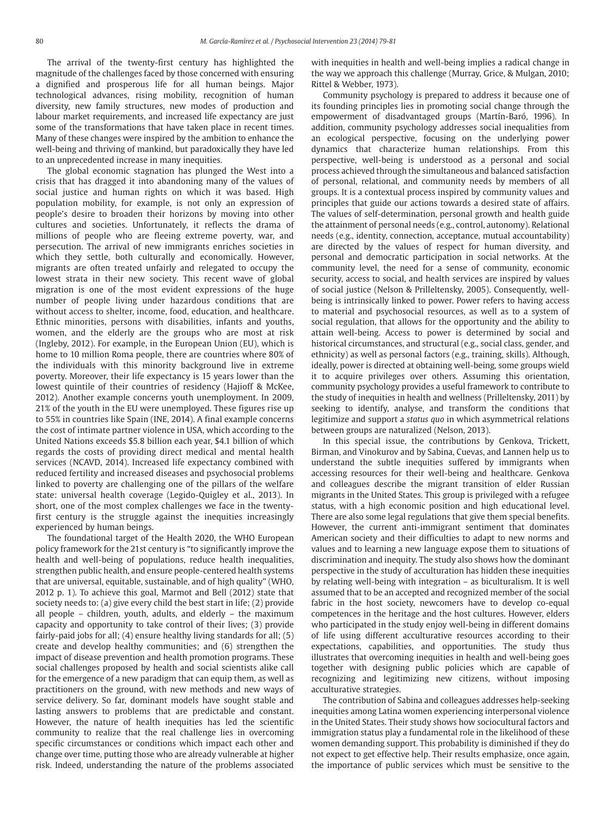The arrival of the twenty-first century has highlighted the magnitude of the challenges faced by those concerned with ensuring a dignified and prosperous life for all human beings. Major technological advances, rising mobility, recognition of human diversity, new family structures, new modes of production and labour market requirements, and increased life expectancy are just some of the transformations that have taken place in recent times. Many of these changes were inspired by the ambition to enhance the well-being and thriving of mankind, but paradoxically they have led to an unprecedented increase in many inequities.

The global economic stagnation has plunged the West into a crisis that has dragged it into abandoning many of the values of social justice and human rights on which it was based. High population mobility, for example, is not only an expression of people's desire to broaden their horizons by moving into other cultures and societies. Unfortunately, it reflects the drama of millions of people who are fleeing extreme poverty, war, and persecution. The arrival of new immigrants enriches societies in which they settle, both culturally and economically. However, migrants are often treated unfairly and relegated to occupy the lowest strata in their new society. This recent wave of global migration is one of the most evident expressions of the huge number of people living under hazardous conditions that are without access to shelter, income, food, education, and healthcare. Ethnic minorities, persons with disabilities, infants and youths, women, and the elderly are the groups who are most at risk (Ingleby, 2012). For example, in the European Union (EU), which is home to 10 million Roma people, there are countries where 80% of the individuals with this minority background live in extreme poverty. Moreover, their life expectancy is 15 years lower than the lowest quintile of their countries of residency (Hajioff & McKee, 2012). Another example concerns youth unemployment. In 2009, 21% of the youth in the EU were unemployed. These figures rise up to 55% in countries like Spain (INE, 2014). A final example concerns the cost of intimate partner violence in USA, which according to the United Nations exceeds \$5.8 billion each year, \$4.1 billion of which regards the costs of providing direct medical and mental health services (NCAVD, 2014). Increased life expectancy combined with reduced fertility and increased diseases and psychosocial problems linked to poverty are challenging one of the pillars of the welfare state: universal health coverage (Legido-Quigley et al., 2013). In short, one of the most complex challenges we face in the twentyfirst century is the struggle against the inequities increasingly experienced by human beings.

The foundational target of the Health 2020, the WHO European policy framework for the 21st century is "to significantly improve the health and well-being of populations, reduce health inequalities, strengthen public health, and ensure people-centered health systems that are universal, equitable, sustainable, and of high quality" (WHO, 2012 p. 1). To achieve this goal, Marmot and Bell (2012) state that society needs to: (a) give every child the best start in life; (2) provide all people – children, youth, adults, and elderly – the maximum capacity and opportunity to take control of their lives; (3) provide fairly-paid jobs for all; (4) ensure healthy living standards for all; (5) create and develop healthy communities; and (6) strengthen the impact of disease prevention and health promotion programs. These social challenges proposed by health and social scientists alike call for the emergence of a new paradigm that can equip them, as well as practitioners on the ground, with new methods and new ways of service delivery. So far, dominant models have sought stable and lasting answers to problems that are predictable and constant. However, the nature of health inequities has led the scientific community to realize that the real challenge lies in overcoming specific circumstances or conditions which impact each other and change over time, putting those who are already vulnerable at higher risk. Indeed, understanding the nature of the problems associated

with inequities in health and well-being implies a radical change in the way we approach this challenge (Murray, Grice, & Mulgan, 2010; Rittel & Webber, 1973).

Community psychology is prepared to address it because one of its founding principles lies in promoting social change through the empowerment of disadvantaged groups (Martín-Baró, 1996). In addition, community psychology addresses social inequalities from an ecological perspective, focusing on the underlying power dynamics that characterize human relationships. From this perspective, well-being is understood as a personal and social process achieved through the simultaneous and balanced satisfaction of personal, relational, and community needs by members of all groups. It is a contextual process inspired by community values and principles that guide our actions towards a desired state of affairs. The values of self-determination, personal growth and health guide the attainment of personal needs (e.g., control, autonomy). Relational needs (e.g., identity, connection, acceptance, mutual accountability) are directed by the values of respect for human diversity, and personal and democratic participation in social networks. At the community level, the need for a sense of community, economic security, access to social, and health services are inspired by values of social justice (Nelson & Prilleltensky, 2005). Consequently, wellbeing is intrinsically linked to power. Power refers to having access to material and psychosocial resources, as well as to a system of social regulation, that allows for the opportunity and the ability to attain well-being. Access to power is determined by social and historical circumstances, and structural (e.g., social class, gender, and ethnicity) as well as personal factors (e.g., training, skills). Although, ideally, power is directed at obtaining well-being, some groups wield it to acquire privileges over others. Assuming this orientation, community psychology provides a useful framework to contribute to the study of inequities in health and wellness (Prilleltensky, 2011) by seeking to identify, analyse, and transform the conditions that legitimize and support a *status quo* in which asymmetrical relations between groups are naturalized (Nelson, 2013).

In this special issue, the contributions by Genkova, Trickett, Birman, and Vinokurov and by Sabina, Cuevas, and Lannen help us to understand the subtle inequities suffered by immigrants when accessing resources for their well-being and healthcare. Genkova and colleagues describe the migrant transition of elder Russian migrants in the United States. This group is privileged with a refugee status, with a high economic position and high educational level. There are also some legal regulations that give them special benefits. However, the current anti-immigrant sentiment that dominates American society and their difficulties to adapt to new norms and values and to learning a new language expose them to situations of discrimination and inequity. The study also shows how the dominant perspective in the study of acculturation has hidden these inequities by relating well-being with integration – as biculturalism. It is well assumed that to be an accepted and recognized member of the social fabric in the host society, newcomers have to develop co-equal competences in the heritage and the host cultures. However, elders who participated in the study enjoy well-being in different domains of life using different acculturative resources according to their expectations, capabilities, and opportunities. The study thus illustrates that overcoming inequities in health and well-being goes together with designing public policies which are capable of recognizing and legitimizing new citizens, without imposing acculturative strategies.

The contribution of Sabina and colleagues addresses help-seeking inequities among Latina women experiencing interpersonal violence in the United States. Their study shows how sociocultural factors and immigration status play a fundamental role in the likelihood of these women demanding support. This probability is diminished if they do not expect to get effective help. Their results emphasize, once again, the importance of public services which must be sensitive to the